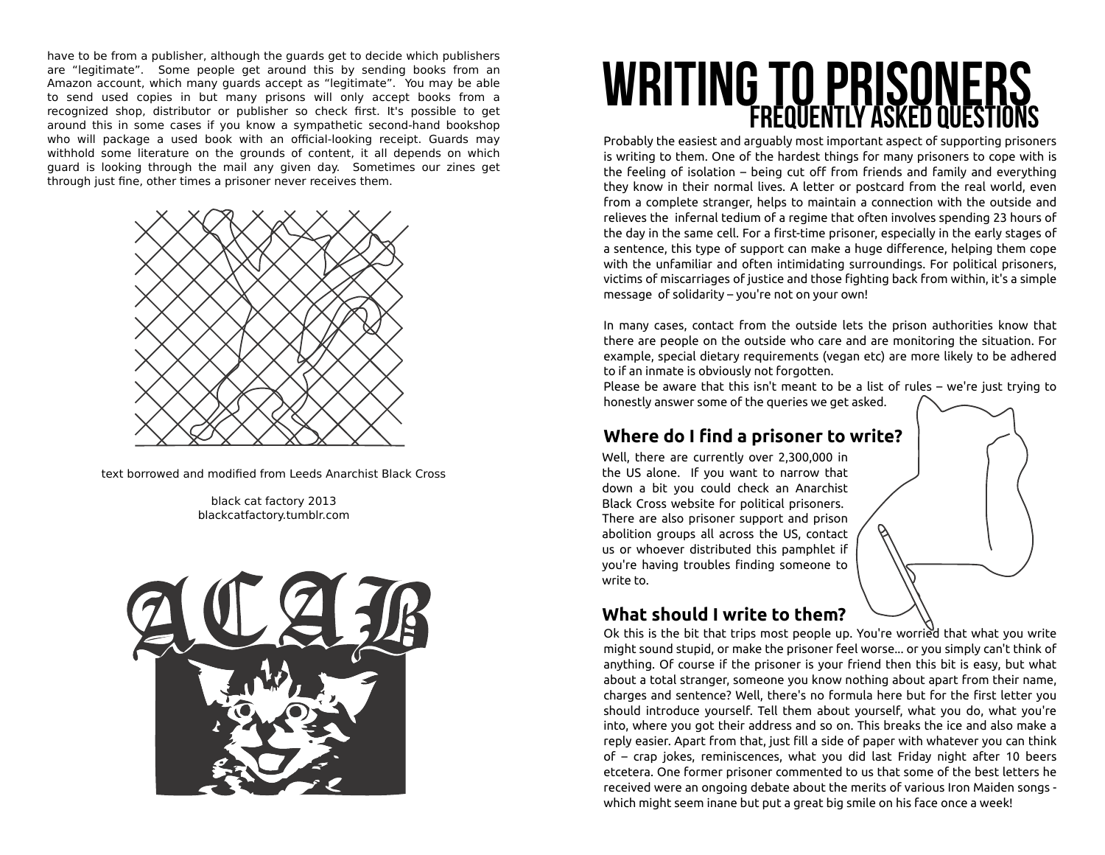have to be from a publisher, although the guards get to decide which publishers are "legitimate". Some people get around this by sending books from an Amazon account, which many guards accept as "legitimate". You may be able to send used copies in but many prisons will only accept books from a recognized shop, distributor or publisher so check first. It's possible to get around this in some cases if you know a sympathetic second-hand bookshop who will package a used book with an official-looking receipt. Guards may withhold some literature on the grounds of content, it all depends on which guard is looking through the mail any given day. Sometimes our zines get through just fine, other times a prisoner never receives them.



text borrowed and modified from Leeds Anarchist Black Cross

black cat factory 2013 blackcatfactory.tumblr.com



# WRITING TO PRISONER

Probably the easiest and arguably most important aspect of supporting prisoners is writing to them. One of the hardest things for many prisoners to cope with is the feeling of isolation – being cut off from friends and family and everything they know in their normal lives. A letter or postcard from the real world, even from a complete stranger, helps to maintain a connection with the outside and relieves the infernal tedium of a regime that often involves spending 23 hours of the day in the same cell. For a first-time prisoner, especially in the early stages of a sentence, this type of support can make a huge difference, helping them cope with the unfamiliar and often intimidating surroundings. For political prisoners, victims of miscarriages of justice and those fighting back from within, it's a simple message of solidarity – you're not on your own!

In many cases, contact from the outside lets the prison authorities know that there are people on the outside who care and are monitoring the situation. For example, special dietary requirements (vegan etc) are more likely to be adhered to if an inmate is obviously not forgotten.

Please be aware that this isn't meant to be a list of rules – we're just trying to honestly answer some of the queries we get asked.

## **Where do I find a prisoner to write?**

Well, there are currently over 2,300,000 in the US alone. If you want to narrow that down a bit you could check an Anarchist Black Cross website for political prisoners. There are also prisoner support and prison abolition groups all across the US, contact us or whoever distributed this pamphlet if you're having troubles finding someone to write to.

## **What should I write to them?**

Ok this is the bit that trips most people up. You're worried that what you write might sound stupid, or make the prisoner feel worse... or you simply can't think of anything. Of course if the prisoner is your friend then this bit is easy, but what about a total stranger, someone you know nothing about apart from their name, charges and sentence? Well, there's no formula here but for the first letter you should introduce yourself. Tell them about yourself, what you do, what you're into, where you got their address and so on. This breaks the ice and also make a reply easier. Apart from that, just fill a side of paper with whatever you can think of – crap jokes, reminiscences, what you did last Friday night after 10 beers etcetera. One former prisoner commented to us that some of the best letters he received were an ongoing debate about the merits of various Iron Maiden songs which might seem inane but put a great big smile on his face once a week!